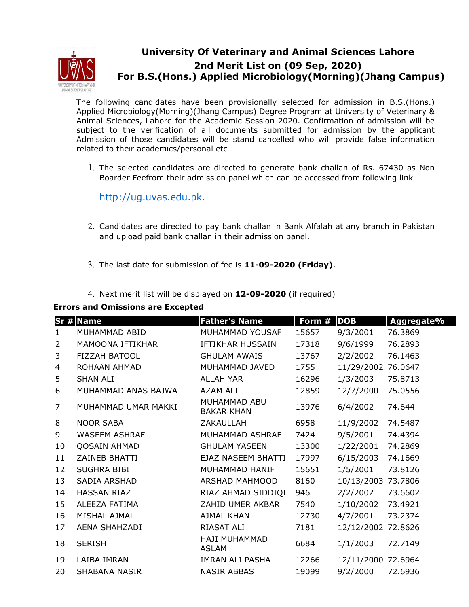

## **University Of Veterinary and Animal Sciences Lahore 2nd Merit List on (09 Sep, 2020) For B.S.(Hons.) Applied Microbiology(Morning)(Jhang Campus)**

The following candidates have been provisionally selected for admission in B.S.(Hons.) Applied Microbiology(Morning)(Jhang Campus) Degree Program at University of Veterinary & Animal Sciences, Lahore for the Academic Session-2020. Confirmation of admission will be subject to the verification of all documents submitted for admission by the applicant Admission of those candidates will be stand cancelled who will provide false information related to their academics/personal etc

1. The selected candidates are directed to generate bank challan of Rs. 67430 as Non Boarder Feefrom their admission panel which can be accessed from following link

http://ug.uvas.edu.pk.

- 2. Candidates are directed to pay bank challan in Bank Alfalah at any branch in Pakistan and upload paid bank challan in their admission panel.
- 3. The last date for submission of fee is **11-09-2020 (Friday)**.
- 4. Next merit list will be displayed on **12-09-2020** (if required)

## **Errors and Omissions are Excepted**

|                | Sr # Name               | <b>Father's Name</b>              | Form # | <b>DOB</b>         | Aggregate% |
|----------------|-------------------------|-----------------------------------|--------|--------------------|------------|
| $\mathbf{1}$   | MUHAMMAD ABID           | MUHAMMAD YOUSAF                   | 15657  | 9/3/2001           | 76.3869    |
| $\overline{2}$ | <b>MAMOONA IFTIKHAR</b> | IFTIKHAR HUSSAIN                  | 17318  | 9/6/1999           | 76.2893    |
| 3              | <b>FIZZAH BATOOL</b>    | <b>GHULAM AWAIS</b>               | 13767  | 2/2/2002           | 76.1463    |
| 4              | ROHAAN AHMAD            | MUHAMMAD JAVED                    | 1755   | 11/29/2002         | 76.0647    |
| 5              | <b>SHAN ALI</b>         | <b>ALLAH YAR</b>                  | 16296  | 1/3/2003           | 75.8713    |
| 6              | MUHAMMAD ANAS BAJWA     | AZAM ALI                          | 12859  | 12/7/2000          | 75.0556    |
| 7              | MUHAMMAD UMAR MAKKI     | MUHAMMAD ABU<br><b>BAKAR KHAN</b> | 13976  | 6/4/2002           | 74.644     |
| 8              | <b>NOOR SABA</b>        | ZAKAULLAH                         | 6958   | 11/9/2002          | 74.5487    |
| 9              | <b>WASEEM ASHRAF</b>    | MUHAMMAD ASHRAF                   | 7424   | 9/5/2001           | 74.4394    |
| 10             | <b>QOSAIN AHMAD</b>     | <b>GHULAM YASEEN</b>              | 13300  | 1/22/2001          | 74.2869    |
| 11             | <b>ZAINEB BHATTI</b>    | EJAZ NASEEM BHATTI                | 17997  | 6/15/2003          | 74.1669    |
| 12             | <b>SUGHRA BIBI</b>      | MUHAMMAD HANIF                    | 15651  | 1/5/2001           | 73.8126    |
| 13             | <b>SADIA ARSHAD</b>     | <b>ARSHAD MAHMOOD</b>             | 8160   | 10/13/2003 73.7806 |            |
| 14             | <b>HASSAN RIAZ</b>      | RIAZ AHMAD SIDDIQI                | 946    | 2/2/2002           | 73.6602    |
| 15             | ALEEZA FATIMA           | ZAHID UMER AKBAR                  | 7540   | 1/10/2002          | 73.4921    |
| 16             | MISHAL AJMAL            | AJMAL KHAN                        | 12730  | 4/7/2001           | 73.2374    |
| 17             | AENA SHAHZADI           | RIASAT ALI                        | 7181   | 12/12/2002 72.8626 |            |
| 18             | <b>SERISH</b>           | <b>HAJI MUHAMMAD</b><br>ASLAM     | 6684   | 1/1/2003           | 72.7149    |
| 19             | LAIBA IMRAN             | IMRAN ALI PASHA                   | 12266  | 12/11/2000 72.6964 |            |
| 20             | SHABANA NASIR           | <b>NASIR ABBAS</b>                | 19099  | 9/2/2000           | 72.6936    |